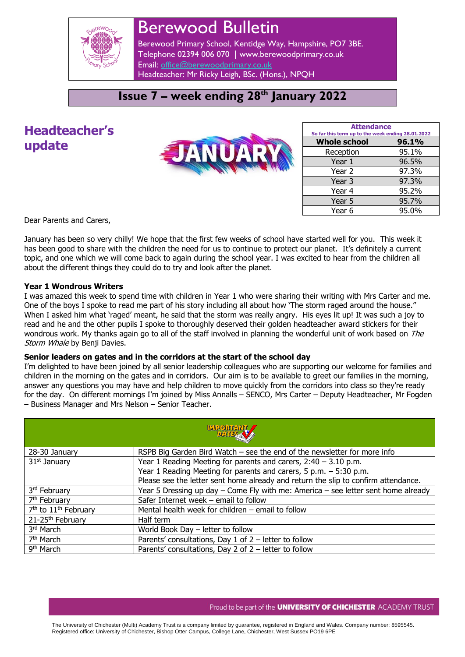

# Berewood Bulletin

Berewood Primary School, Kentidge Way, Hampshire, PO7 3BE. Telephone 02394 006 070 **|** [www.berewoodprimary.co.uk](http://www.berewoodprimary.co.uk/) Email: [office@berewoodprimary.co.uk](mailto:office@berewoodprimary.co.uk) Headteacher: Mr Ricky Leigh, BSc. (Hons.), NPQH

### **Issue 7 – week ending 28th January 2022**

# **Headteacher's update**



| <b>Attendance</b><br>So far this term up to the week ending 28.01.2022 |       |  |
|------------------------------------------------------------------------|-------|--|
| <b>Whole school</b>                                                    | 96.1% |  |
| Reception                                                              | 95.1% |  |
| Year 1                                                                 | 96.5% |  |
| Year 2                                                                 | 97.3% |  |
| Year 3                                                                 | 97.3% |  |
| Year 4                                                                 | 95.2% |  |
| Year 5                                                                 | 95.7% |  |
| Year 6                                                                 | 95.0% |  |

Dear Parents and Carers,

January has been so very chilly! We hope that the first few weeks of school have started well for you. This week it has been good to share with the children the need for us to continue to protect our planet. It's definitely a current topic, and one which we will come back to again during the school year. I was excited to hear from the children all about the different things they could do to try and look after the planet.

#### **Year 1 Wondrous Writers**

I was amazed this week to spend time with children in Year 1 who were sharing their writing with Mrs Carter and me. One of the boys I spoke to read me part of his story including all about how 'The storm raged around the house." When I asked him what 'raged' meant, he said that the storm was really angry. His eyes lit up! It was such a joy to read and he and the other pupils I spoke to thoroughly deserved their golden headteacher award stickers for their wondrous work. My thanks again go to all of the staff involved in planning the wonderful unit of work based on The Storm Whale by Benji Davies.

#### **Senior leaders on gates and in the corridors at the start of the school day**

I'm delighted to have been joined by all senior leadership colleagues who are supporting our welcome for families and children in the morning on the gates and in corridors. Our aim is to be available to greet our families in the morning, answer any questions you may have and help children to move quickly from the corridors into class so they're ready for the day. On different mornings I'm joined by Miss Annalls – SENCO, Mrs Carter – Deputy Headteacher, Mr Fogden – Business Manager and Mrs Nelson – Senior Teacher.

| <b>MPOMANT</b>                               |                                                                                       |  |  |
|----------------------------------------------|---------------------------------------------------------------------------------------|--|--|
| 28-30 January                                | RSPB Big Garden Bird Watch $-$ see the end of the newsletter for more info            |  |  |
| 31 <sup>st</sup> January                     | Year 1 Reading Meeting for parents and carers, $2:40 - 3.10$ p.m.                     |  |  |
|                                              | Year 1 Reading Meeting for parents and carers, 5 p.m. - 5:30 p.m.                     |  |  |
|                                              | Please see the letter sent home already and return the slip to confirm attendance.    |  |  |
| 3rd February                                 | Year 5 Dressing up day $-$ Come Fly with me: America $-$ see letter sent home already |  |  |
| 7 <sup>th</sup> February                     | Safer Internet week - email to follow                                                 |  |  |
| 7 <sup>th</sup> to 11 <sup>th</sup> February | Mental health week for children - email to follow                                     |  |  |
| 21-25 <sup>th</sup> February                 | Half term                                                                             |  |  |
| 3 <sup>rd</sup> March                        | World Book Day $-$ letter to follow                                                   |  |  |
| 7 <sup>th</sup> March                        | Parents' consultations, Day 1 of $2$ – letter to follow                               |  |  |
| 9 <sup>th</sup> March                        | Parents' consultations, Day 2 of $2$ – letter to follow                               |  |  |

#### Proud to be part of the **UNIVERSITY OF CHICHESTER** ACADEMY TRUST

The University of Chichester (Multi) Academy Trust is a company limited by guarantee, registered in England and Wales. Company number: 8595545. Registered office: University of Chichester, Bishop Otter Campus, College Lane, Chichester, West Sussex PO19 6PE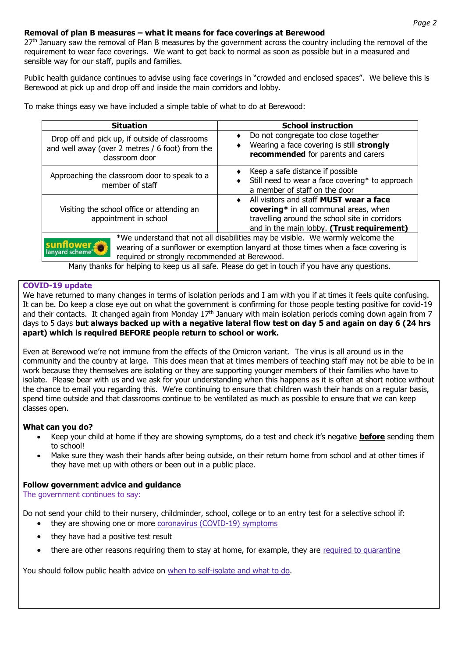#### **Removal of plan B measures – what it means for face coverings at Berewood**

27<sup>th</sup> January saw the removal of Plan B measures by the government across the country including the removal of the requirement to wear face coverings. We want to get back to normal as soon as possible but in a measured and sensible way for our staff, pupils and families.

Public health guidance continues to advise using face coverings in "crowded and enclosed spaces". We believe this is Berewood at pick up and drop off and inside the main corridors and lobby.

To make things easy we have included a simple table of what to do at Berewood:

| <b>Situation</b>                                                                                                    | <b>School instruction</b>                                                                                                                                                                            |
|---------------------------------------------------------------------------------------------------------------------|------------------------------------------------------------------------------------------------------------------------------------------------------------------------------------------------------|
| Drop off and pick up, if outside of classrooms<br>and well away (over 2 metres / 6 foot) from the<br>classroom door | Do not congregate too close together<br>٠<br>Wearing a face covering is still strongly<br>recommended for parents and carers                                                                         |
| Approaching the classroom door to speak to a<br>member of staff                                                     | Keep a safe distance if possible<br>Still need to wear a face covering* to approach<br>a member of staff on the door                                                                                 |
| Visiting the school office or attending an<br>appointment in school                                                 | All visitors and staff <b>MUST</b> wear a face<br>$\bullet$<br>covering* in all communal areas, when<br>travelling around the school site in corridors<br>and in the main lobby. (Trust requirement) |
| sunflower<br>lanyard scheme <sup>®</sup><br>required or strongly recommended at Berewood.                           | *We understand that not all disabilities may be visible. We warmly welcome the<br>wearing of a sunflower or exemption lanyard at those times when a face covering is                                 |
|                                                                                                                     | Many thanks for helping to keep us all safe. Please do get in touch if you have any questions.                                                                                                       |

#### **COVID-19 update**

We have returned to many changes in terms of isolation periods and I am with you if at times it feels quite confusing. It can be. Do keep a close eye out on what the government is confirming for those people testing positive for covid-19 and their contacts. It changed again from Monday 17<sup>th</sup> January with main isolation periods coming down again from 7 days to 5 days **but always backed up with a negative lateral flow test on day 5 and again on day 6 (24 hrs apart) which is required BEFORE people return to school or work.**

Even at Berewood we're not immune from the effects of the Omicron variant. The virus is all around us in the community and the country at large. This does mean that at times members of teaching staff may not be able to be in work because they themselves are isolating or they are supporting younger members of their families who have to isolate. Please bear with us and we ask for your understanding when this happens as it is often at short notice without the chance to email you regarding this. We're continuing to ensure that children wash their hands on a regular basis, spend time outside and that classrooms continue to be ventilated as much as possible to ensure that we can keep classes open.

#### **What can you do?**

- Keep your child at home if they are showing symptoms, do a test and check it's negative **before** sending them to school!
- Make sure they wash their hands after being outside, on their return home from school and at other times if they have met up with others or been out in a public place.

#### **Follow government advice and guidance**

The government continues to say:

Do not send your child to their nursery, childminder, school, college or to an entry test for a selective school if:

- they are showing one or more [coronavirus \(COVID-19\) symptoms](https://www.nhs.uk/conditions/coronavirus-covid-19/symptoms/)
- they have had a positive test result
- there are other reasons requiring them to stay at home, for example, they are [required to quarantine](https://www.gov.uk/uk-border-control)

You should follow public health advice on [when to self-isolate and what to do.](https://www.nhs.uk/conditions/coronavirus-covid-19/self-isolation-and-treatment/when-to-self-isolate-and-what-to-do/)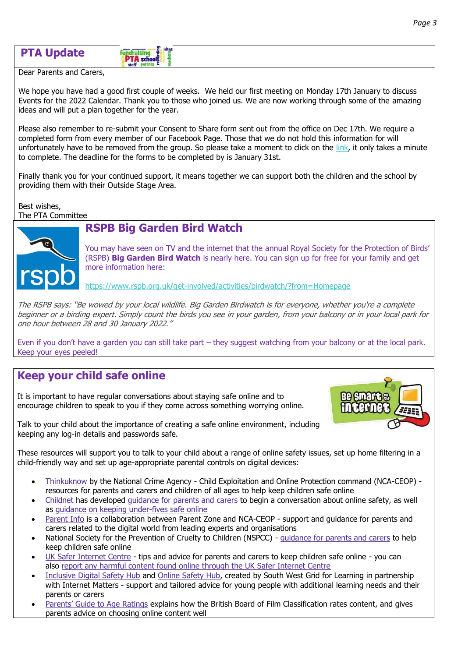| <b>PTA Update</b> |  |
|-------------------|--|
|-------------------|--|

#### **fundraisin PTA** schools

Dear Parents and Carers,

We hope you have had a good first couple of weeks. We held our first meeting on Monday 17th January to discuss Events for the 2022 Calendar. Thank you to those who joined us. We are now working through some of the amazing ideas and will put a plan together for the year.

Please also remember to re-submit your Consent to Share form sent out from the office on Dec 17th. We require a completed form from every member of our Facebook Page. Those that we do not hold this information for will unfortunately have to be removed from the group. So please take a moment to click on the [link,](https://forms.office.com/r/6iuHG1gTsX) it only takes a minute to complete. The deadline for the forms to be completed by is January 31st.

Finally thank you for your continued support, it means together we can support both the children and the school by providing them with their Outside Stage Area.

Best wishes, The PTA Committee

### **RSPB Big Garden Bird Watch**



You may have seen on TV and the internet that the annual Royal Society for the Protection of Birds' (RSPB) **Big Garden Bird Watch** is nearly here. You can sign up for free for your family and get more information here:

<https://www.rspb.org.uk/get-involved/activities/birdwatch/?from=Homepage>

The RSPB says: "Be wowed by your local wildlife. Big Garden Birdwatch is for everyone, whether you're a complete beginner or a birding expert. Simply count the birds you see in your garden, from your balcony or in your local park for one hour between 28 and 30 January 2022."

Even if you don't have a garden you can still take part – they suggest watching from your balcony or at the local park. Keep your eyes peeled!

# **Keep your child safe online**

It is important to have regular conversations about staying safe online and to encourage children to speak to you if they come across something worrying online.



Talk to your child about the importance of creating a safe online environment, including keeping any log-in details and passwords safe.

These resources will support you to talk to your child about a range of online safety issues, set up home filtering in a child-friendly way and set up age-appropriate parental controls on digital devices:

- [Thinkuknow](https://www.thinkuknow.co.uk/) by the National Crime Agency Child Exploitation and Online Protection command (NCA-CEOP) resources for parents and carers and children of all ages to help keep children safe online
- [Childnet](https://www.childnet.com/) has developed [guidance for parents and carers](https://www.childnet.com/parents-and-carers/have-a-conversation) to begin a conversation about online safety, as well as [guidance on keeping under-fives safe online](https://www.childnet.com/parents-and-carers/hot-topics/keeping-young-children-safe-online)
- [Parent Info](https://parentinfo.org/) is a collaboration between Parent Zone and NCA-CEOP support and guidance for parents and carers related to the digital world from leading experts and organisations
- National Society for the Prevention of Cruelty to Children (NSPCC) [guidance for parents and carers](https://www.nspcc.org.uk/keeping-children-safe/online-safety) to help keep children safe online
- [UK Safer Internet Centre](https://www.saferinternet.org.uk/advice-centre/parents-and-carers) tips and advice for parents and carers to keep children safe online you can also [report any harmful content found online through the UK Safer Internet Centre](https://reportharmfulcontent.com/)
- [Inclusive Digital Safety Hub](https://www.internetmatters.org/inclusive-digital-safety/) and [Online Safety Hub,](https://www.internetmatters.org/connecting-safely-online/) created by South West Grid for Learning in partnership with Internet Matters - support and tailored advice for young people with additional learning needs and their parents or carers
- [Parents' Guide to Age Ratings](https://indd.adobe.com/view/edb6c04a-b984-4cd4-ab93-79ea28ac8298) explains how the British Board of Film Classification rates content, and gives parents advice on choosing online content well